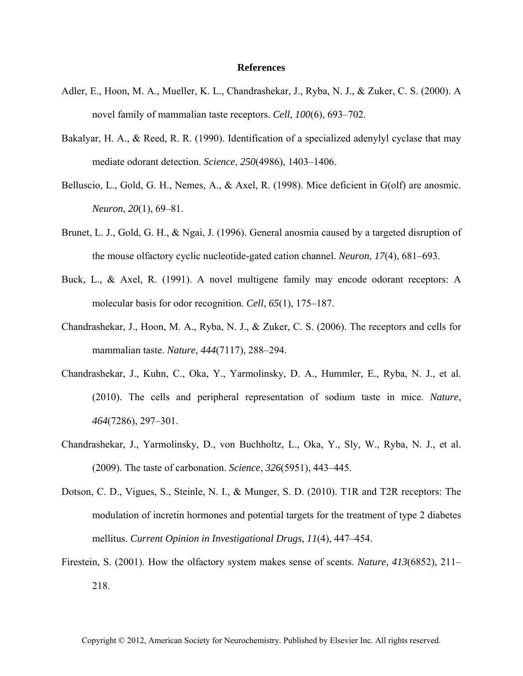## **References**

- Adler, E., Hoon, M. A., Mueller, K. L., Chandrashekar, J., Ryba, N. J., & Zuker, C. S. (2000). A novel family of mammalian taste receptors. *Cell*, *100*(6), 693–702.
- Bakalyar, H. A., & Reed, R. R. (1990). Identification of a specialized adenylyl cyclase that may mediate odorant detection. *Science*, *250*(4986), 1403–1406.
- Belluscio, L., Gold, G. H., Nemes, A., & Axel, R. (1998). Mice deficient in G(olf) are anosmic. *Neuron*, *20*(1), 69–81.
- Brunet, L. J., Gold, G. H., & Ngai, J. (1996). General anosmia caused by a targeted disruption of the mouse olfactory cyclic nucleotide-gated cation channel. *Neuron*, *17*(4), 681–693.
- Buck, L., & Axel, R. (1991). A novel multigene family may encode odorant receptors: A molecular basis for odor recognition. *Cell*, *65*(1), 175–187.
- Chandrashekar, J., Hoon, M. A., Ryba, N. J., & Zuker, C. S. (2006). The receptors and cells for mammalian taste. *Nature*, *444*(7117), 288–294.
- Chandrashekar, J., Kuhn, C., Oka, Y., Yarmolinsky, D. A., Hummler, E., Ryba, N. J., et al. (2010). The cells and peripheral representation of sodium taste in mice. *Nature*, *464*(7286), 297–301.
- Chandrashekar, J., Yarmolinsky, D., von Buchholtz, L., Oka, Y., Sly, W., Ryba, N. J., et al. (2009). The taste of carbonation. *Science*, *326*(5951), 443–445.
- Dotson, C. D., Vigues, S., Steinle, N. I., & Munger, S. D. (2010). T1R and T2R receptors: The modulation of incretin hormones and potential targets for the treatment of type 2 diabetes mellitus. *Current Opinion in Investigational Drugs*, *11*(4), 447–454.
- Firestein, S. (2001). How the olfactory system makes sense of scents. *Nature*, *413*(6852), 211– 218.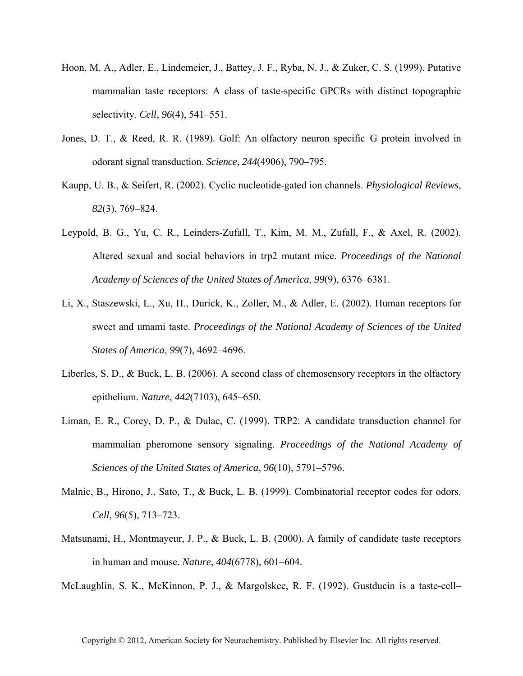- Hoon, M. A., Adler, E., Lindemeier, J., Battey, J. F., Ryba, N. J., & Zuker, C. S. (1999). Putative mammalian taste receptors: A class of taste-specific GPCRs with distinct topographic selectivity. *Cell*, *96*(4), 541–551.
- Jones, D. T., & Reed, R. R. (1989). Golf: An olfactory neuron specific–G protein involved in odorant signal transduction. *Science*, *244*(4906), 790–795.
- Kaupp, U. B., & Seifert, R. (2002). Cyclic nucleotide-gated ion channels. *Physiological Reviews*, *82*(3), 769–824.
- Leypold, B. G., Yu, C. R., Leinders-Zufall, T., Kim, M. M., Zufall, F., & Axel, R. (2002). Altered sexual and social behaviors in trp2 mutant mice. *Proceedings of the National Academy of Sciences of the United States of America*, *99*(9), 6376–6381.
- Li, X., Staszewski, L., Xu, H., Durick, K., Zoller, M., & Adler, E. (2002). Human receptors for sweet and umami taste. *Proceedings of the National Academy of Sciences of the United States of America*, *99*(7), 4692–4696.
- Liberles, S. D., & Buck, L. B. (2006). A second class of chemosensory receptors in the olfactory epithelium. *Nature*, *442*(7103), 645–650.
- Liman, E. R., Corey, D. P., & Dulac, C. (1999). TRP2: A candidate transduction channel for mammalian pheromone sensory signaling. *Proceedings of the National Academy of Sciences of the United States of America*, *96*(10), 5791–5796.
- Malnic, B., Hirono, J., Sato, T., & Buck, L. B. (1999). Combinatorial receptor codes for odors. *Cell*, *96*(5), 713–723.
- Matsunami, H., Montmayeur, J. P., & Buck, L. B. (2000). A family of candidate taste receptors in human and mouse. *Nature*, *404*(6778), 601–604.

McLaughlin, S. K., McKinnon, P. J., & Margolskee, R. F. (1992). Gustducin is a taste-cell–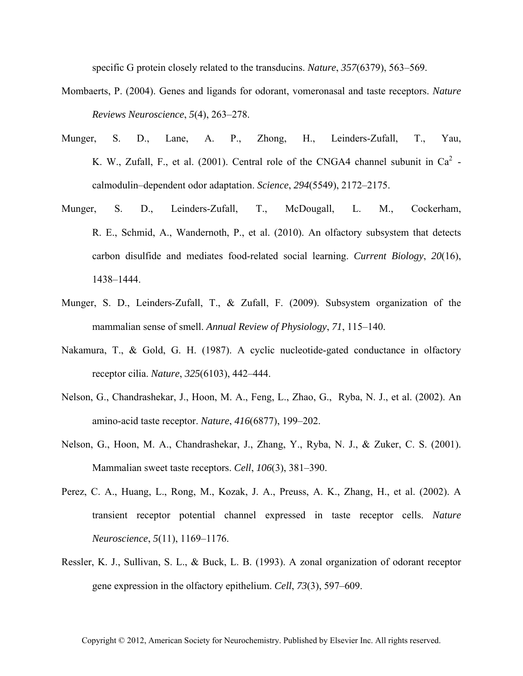specific G protein closely related to the transducins. *Nature*, *357*(6379), 563–569.

- Mombaerts, P. (2004). Genes and ligands for odorant, vomeronasal and taste receptors. *Nature Reviews Neuroscience*, *5*(4), 263–278.
- Munger, S. D., Lane, A. P., Zhong, H., Leinders-Zufall, T., Yau, K. W., Zufall, F., et al. (2001). Central role of the CNGA4 channel subunit in  $Ca^2$  calmodulin–dependent odor adaptation. *Science*, *294*(5549), 2172–2175.
- Munger, S. D., Leinders-Zufall, T., McDougall, L. M., Cockerham, R. E., Schmid, A., Wandernoth, P., et al. (2010). An olfactory subsystem that detects carbon disulfide and mediates food-related social learning. *Current Biology*, *20*(16), 1438–1444.
- Munger, S. D., Leinders-Zufall, T., & Zufall, F. (2009). Subsystem organization of the mammalian sense of smell. *Annual Review of Physiology*, *71*, 115–140.
- Nakamura, T., & Gold, G. H. (1987). A cyclic nucleotide-gated conductance in olfactory receptor cilia. *Nature*, *325*(6103), 442–444.
- Nelson, G., Chandrashekar, J., Hoon, M. A., Feng, L., Zhao, G., Ryba, N. J., et al. (2002). An amino-acid taste receptor. *Nature*, *416*(6877), 199–202.
- Nelson, G., Hoon, M. A., Chandrashekar, J., Zhang, Y., Ryba, N. J., & Zuker, C. S. (2001). Mammalian sweet taste receptors. *Cell*, *106*(3), 381–390.
- Perez, C. A., Huang, L., Rong, M., Kozak, J. A., Preuss, A. K., Zhang, H., et al. (2002). A transient receptor potential channel expressed in taste receptor cells. *Nature Neuroscience*, *5*(11), 1169–1176.
- Ressler, K. J., Sullivan, S. L., & Buck, L. B. (1993). A zonal organization of odorant receptor gene expression in the olfactory epithelium. *Cell*, *73*(3), 597–609.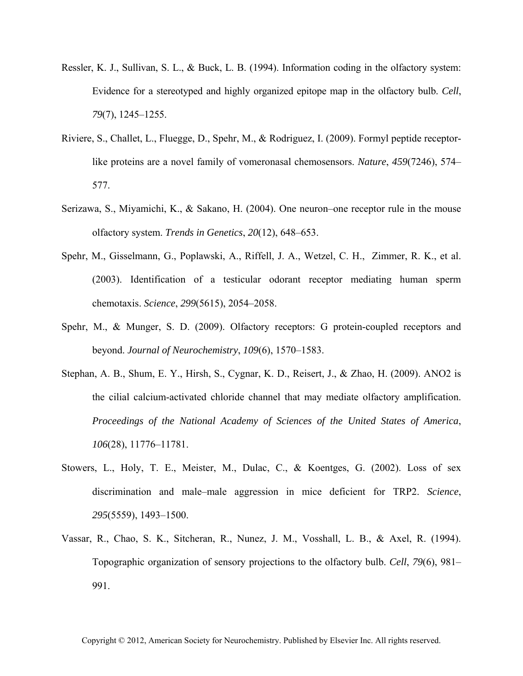- Ressler, K. J., Sullivan, S. L., & Buck, L. B. (1994). Information coding in the olfactory system: Evidence for a stereotyped and highly organized epitope map in the olfactory bulb. *Cell*, *79*(7), 1245–1255.
- Riviere, S., Challet, L., Fluegge, D., Spehr, M., & Rodriguez, I. (2009). Formyl peptide receptorlike proteins are a novel family of vomeronasal chemosensors. *Nature*, *459*(7246), 574– 577.
- Serizawa, S., Miyamichi, K., & Sakano, H. (2004). One neuron–one receptor rule in the mouse olfactory system. *Trends in Genetics*, *20*(12), 648–653.
- Spehr, M., Gisselmann, G., Poplawski, A., Riffell, J. A., Wetzel, C. H., Zimmer, R. K., et al. (2003). Identification of a testicular odorant receptor mediating human sperm chemotaxis. *Science*, *299*(5615), 2054–2058.
- Spehr, M., & Munger, S. D. (2009). Olfactory receptors: G protein-coupled receptors and beyond. *Journal of Neurochemistry*, *109*(6), 1570–1583.
- Stephan, A. B., Shum, E. Y., Hirsh, S., Cygnar, K. D., Reisert, J., & Zhao, H. (2009). ANO2 is the cilial calcium-activated chloride channel that may mediate olfactory amplification. *Proceedings of the National Academy of Sciences of the United States of America*, *106*(28), 11776–11781.
- Stowers, L., Holy, T. E., Meister, M., Dulac, C., & Koentges, G. (2002). Loss of sex discrimination and male–male aggression in mice deficient for TRP2. *Science*, *295*(5559), 1493–1500.
- Vassar, R., Chao, S. K., Sitcheran, R., Nunez, J. M., Vosshall, L. B., & Axel, R. (1994). Topographic organization of sensory projections to the olfactory bulb. *Cell*, *79*(6), 981– 991.